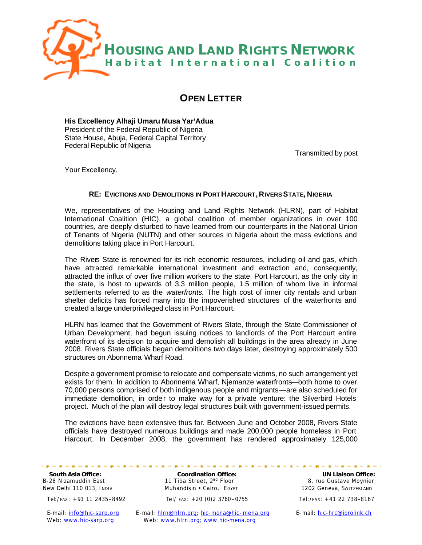

# **OPEN LETTER**

**His Excellency Alhaji Umaru Musa Yar'Adua** President of the Federal Republic of Nigeria State House, Abuja, Federal Capital Territory Federal Republic of Nigeria

Transmitted by post

Your Excellency,

## **RE: EVICTIONS AND DEMOLITIONS IN PORT HARCOURT, RIVERS STATE, NIGERIA**

We, representatives of the Housing and Land Rights Network (HLRN), part of Habitat International Coalition (HIC), a global coalition of member organizations in over 100 countries, are deeply disturbed to have learned from our counterparts in the National Union of Tenants of Nigeria (NUTN) and other sources in Nigeria about the mass evictions and demolitions taking place in Port Harcourt.

The Rivers State is renowned for its rich economic resources, including oil and gas, which have attracted remarkable international investment and extraction and, consequently, attracted the influx of over five million workers to the state. Port Harcourt, as the only city in the state, is host to upwards of 3.3 million people, 1.5 million of whom live in informal settlements referred to as the *waterfronts.* The high cost of inner city rentals and urban shelter deficits has forced many into the impoverished structures of the waterfronts and created a large underprivileged class in Port Harcourt.

HLRN has learned that the Government of Rivers State, through the State Commissioner of Urban Development, had begun issuing notices to landlords of the Port Harcourt entire waterfront of its decision to acquire and demolish all buildings in the area already in June 2008. Rivers State officials began demolitions two days later, destroying approximately 500 structures on Abonnema Wharf Road.

Despite a government promise to relocate and compensate victims, no such arrangement yet exists for them. In addition to Abonnema Wharf, Njemanze waterfronts—both home to over 70,000 persons comprised of both indigenous people and migrants—are also scheduled for immediate demolition, in order to make way for a private venture: the Silverbird Hotels project. Much of the plan will destroy legal structures built with government-issued permits.

The evictions have been extensive thus far. Between June and October 2008, Rivers State officials have destroyed numerous buildings and made 200,000 people homeless in Port Harcourt. In December 2008, the government has rendered approximately 125,000

**South Asia Office: Coordination Office: Coordination Office: Coordination Office: Coordination Office: Coordination Office: Coordination Office: Coordination Office: Coordination Office: Coordination off** B-28 Nizamuddin East 11 Tiba Street, 2<sup>nd</sup> Floor 8, rue Gustave Moynier New Delhi 110 013, India Muhandisin • Cairo, Egypt 1202 Geneva, Switzerland 1202 Geneva, Switzerland

Tel:/ FAX: +91 11 2435–8492 Tel/ FAX: +20 (0)2 3760–0755 Tel:/FAX: +41 22 738–8167

E-mail: info@hic-sarp.org E-mail: hlrn@hlrn.org; hic-mena@hic-mena.org E-mail: hic-hrc@iprolink.ch Web: www.hic-sarp.org Web: www.hlrn.org; www.hic-mena.org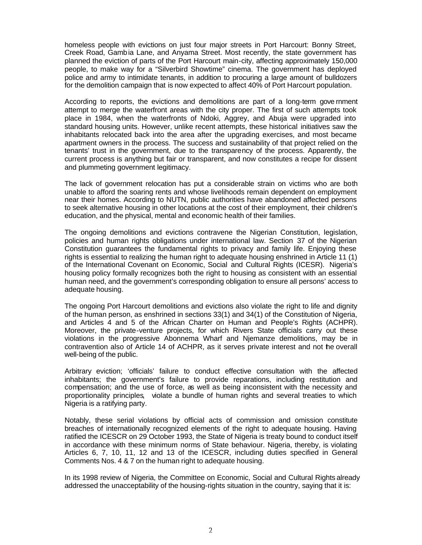homeless people with evictions on just four major streets in Port Harcourt: Bonny Street, Creek Road, Gambia Lane, and Anyama Street. Most recently, the state government has planned the eviction of parts of the Port Harcourt main-city, affecting approximately 150,000 people, to make way for a "Silverbird Showtime" cinema. The government has deployed police and army to intimidate tenants, in addition to procuring a large amount of bulldozers for the demolition campaign that is now expected to affect 40% of Port Harcourt population.

According to reports, the evictions and demolitions are part of a long-term gove rnment attempt to merge the waterfront areas with the city proper. The first of such attempts took place in 1984, when the waterfronts of Ndoki, Aggrey, and Abuja were upgraded into standard housing units. However, unlike recent attempts, these historical initiatives saw the inhabitants relocated back into the area after the upgrading exercises, and most became apartment owners in the process. The success and sustainability of that project relied on the tenants' trust in the government, due to the transparency of the process. Apparently, the current process is anything but fair or transparent, and now constitutes a recipe for dissent and plummeting government legitimacy.

The lack of government relocation has put a considerable strain on victims who are both unable to afford the soaring rents and whose livelihoods remain dependent on employment near their homes. According to NUTN, public authorities have abandoned affected persons to seek alternative housing in other locations at the cost of their employment, their children's education, and the physical, mental and economic health of their families.

The ongoing demolitions and evictions contravene the Nigerian Constitution, legislation, policies and human rights obligations under international law. Section 37 of the Nigerian Constitution guarantees the fundamental rights to privacy and family life. Enjoying these rights is essential to realizing the human right to adequate housing enshrined in Article 11 (1) of the International Covenant on Economic, Social and Cultural Rights (ICESR). Nigeria's housing policy formally recognizes both the right to housing as consistent with an essential human need, and the government's corresponding obligation to ensure all persons' access to adequate housing.

The ongoing Port Harcourt demolitions and evictions also violate the right to life and dignity of the human person, as enshrined in sections 33(1) and 34(1) of the Constitution of Nigeria, and Articles 4 and 5 of the African Charter on Human and People's Rights (ACHPR). Moreover, the private-venture projects, for which Rivers State officials carry out these violations in the progressive Abonnema Wharf and Njemanze demolitions, may be in contravention also of Article 14 of ACHPR, as it serves private interest and not he overall well-being of the public.

Arbitrary eviction; 'officials' failure to conduct effective consultation with the affected inhabitants; the government's failure to provide reparations, including restitution and compensation; and the use of force, as well as being inconsistent with the necessity and proportionality principles, violate a bundle of human rights and several treaties to which Nigeria is a ratifying party.

Notably, these serial violations by official acts of commission and omission constitute breaches of internationally recognized elements of the right to adequate housing. Having ratified the ICESCR on 29 October 1993, the State of Nigeria is treaty bound to conduct itself in accordance with these minimum norms of State behaviour. Nigeria, thereby, is violating Articles 6, 7, 10, 11, 12 and 13 of the ICESCR, including duties specified in General Comments Nos. 4 & 7 on the human right to adequate housing.

In its 1998 review of Nigeria, the Committee on Economic, Social and Cultural Rights already addressed the unacceptability of the housing-rights situation in the country, saying that it is: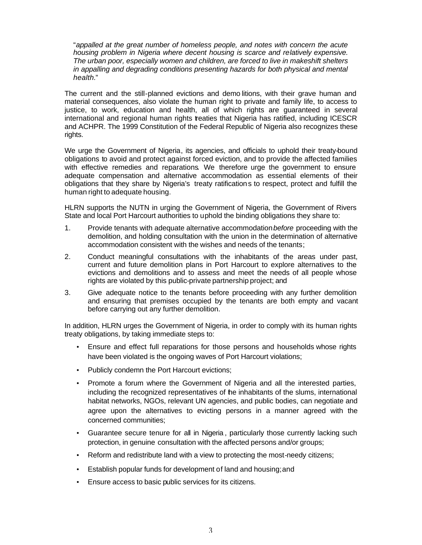"*appalled at the great number of homeless people, and notes with concern the acute housing problem in Nigeria where decent housing is scarce and relatively expensive. The urban poor, especially women and children, are forced to live in makeshift shelters in appalling and degrading conditions presenting hazards for both physical and mental health.*"

The current and the still-planned evictions and demo litions, with their grave human and material consequences, also violate the human right to private and family life, to access to justice, to work, education and health, all of which rights are guaranteed in several international and regional human rights treaties that Nigeria has ratified, including ICESCR and ACHPR. The 1999 Constitution of the Federal Republic of Nigeria also recognizes these rights.

We urge the Government of Nigeria, its agencies, and officials to uphold their treaty-bound obligations to avoid and protect against forced eviction, and to provide the affected families with effective remedies and reparations. We therefore urge the government to ensure adequate compensation and alternative accommodation as essential elements of their obligations that they share by Nigeria's treaty ratifications to respect, protect and fulfill the human right to adequate housing.

HLRN supports the NUTN in urging the Government of Nigeria, the Government of Rivers State and local Port Harcourt authorities to uphold the binding obligations they share to:

- 1. Provide tenants with adequate alternative accommodation *before* proceeding with the demolition, and holding consultation with the union in the determination of alternative accommodation consistent with the wishes and needs of the tenants;
- 2. Conduct meaningful consultations with the inhabitants of the areas under past, current and future demolition plans in Port Harcourt to explore alternatives to the evictions and demolitions and to assess and meet the needs of all people whose rights are violated by this public-private partnership project; and
- 3. Give adequate notice to the tenants before proceeding with any further demolition and ensuring that premises occupied by the tenants are both empty and vacant before carrying out any further demolition.

In addition, HLRN urges the Government of Nigeria, in order to comply with its human rights treaty obligations, by taking immediate steps to:

- Ensure and effect full reparations for those persons and households whose rights have been violated is the ongoing waves of Port Harcourt violations;
- Publicly condemn the Port Harcourt evictions;
- Promote a forum where the Government of Nigeria and all the interested parties, including the recognized representatives of the inhabitants of the slums, international habitat networks, NGOs, relevant UN agencies, and public bodies, can negotiate and agree upon the alternatives to evicting persons in a manner agreed with the concerned communities;
- Guarantee secure tenure for all in Nigeria , particularly those currently lacking such protection, in genuine consultation with the affected persons and/or groups;
- Reform and redistribute land with a view to protecting the most-needy citizens;
- Establish popular funds for development of land and housing; and
- Ensure access to basic public services for its citizens.